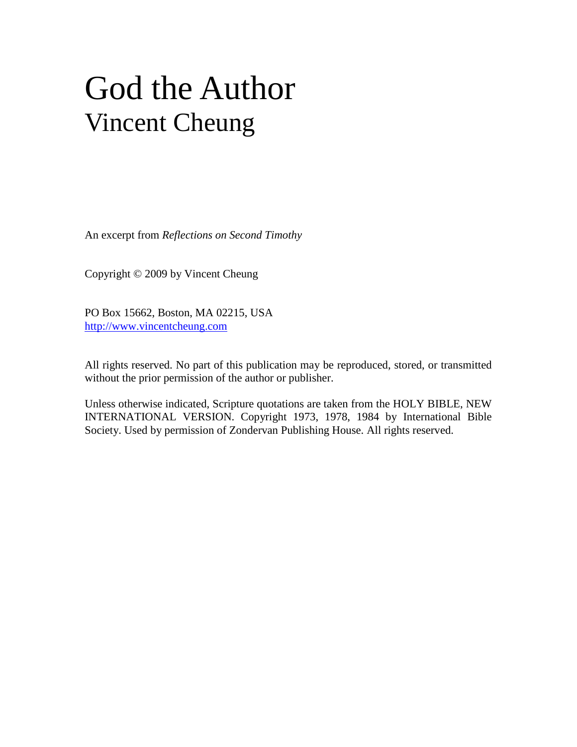## God the Author Vincent Cheung

An excerpt from *Reflections on Second Timothy*

Copyright © 2009 by Vincent Cheung

PO Box 15662, Boston, MA 02215, USA http://www.vincentcheung.com

All rights reserved. No part of this publication may be reproduced, stored, or transmitted without the prior permission of the author or publisher.

Unless otherwise indicated, Scripture quotations are taken from the HOLY BIBLE, NEW INTERNATIONAL VERSION. Copyright 1973, 1978, 1984 by International Bible Society. Used by permission of Zondervan Publishing House. All rights reserved.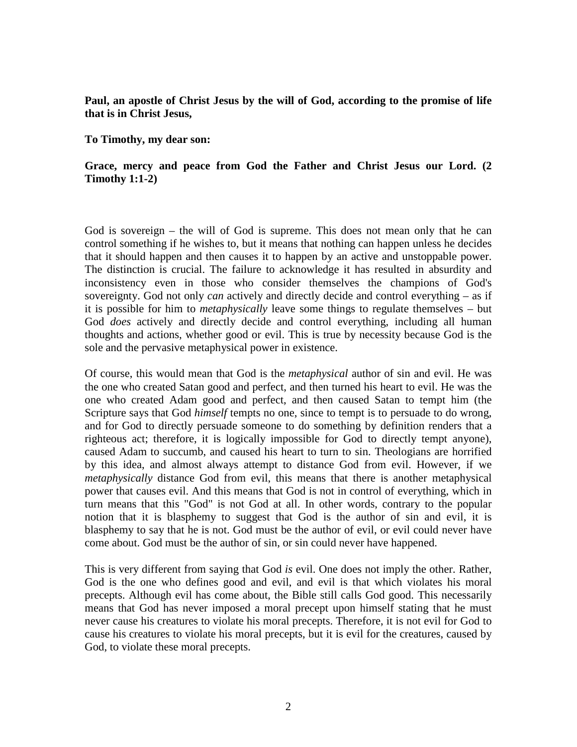**Paul, an apostle of Christ Jesus by the will of God, according to the promise of life that is in Christ Jesus,**

**To Timothy, my dear son:**

## **Grace, mercy and peace from God the Father and Christ Jesus our Lord. (2 Timothy 1:1-2)**

God is sovereign – the will of God is supreme. This does not mean only that he can control something if he wishes to, but it means that nothing can happen unless he decides that it should happen and then causes it to happen by an active and unstoppable power. The distinction is crucial. The failure to acknowledge it has resulted in absurdity and inconsistency even in those who consider themselves the champions of God's sovereignty. God not only *can* actively and directly decide and control everything – as if it is possible for him to *metaphysically* leave some things to regulate themselves – but God *does* actively and directly decide and control everything, including all human thoughts and actions, whether good or evil. This is true by necessity because God is the sole and the pervasive metaphysical power in existence.

Of course, this would mean that God is the *metaphysical* author of sin and evil. He was the one who created Satan good and perfect, and then turned his heart to evil. He was the one who created Adam good and perfect, and then caused Satan to tempt him (the Scripture says that God *himself* tempts no one, since to tempt is to persuade to do wrong, and for God to directly persuade someone to do something by definition renders that a righteous act; therefore, it is logically impossible for God to directly tempt anyone), caused Adam to succumb, and caused his heart to turn to sin. Theologians are horrified by this idea, and almost always attempt to distance God from evil. However, if we *metaphysically* distance God from evil, this means that there is another metaphysical power that causes evil. And this means that God is not in control of everything, which in turn means that this "God" is not God at all. In other words, contrary to the popular notion that it is blasphemy to suggest that God is the author of sin and evil, it is blasphemy to say that he is not. God must be the author of evil, or evil could never have come about. God must be the author of sin, or sin could never have happened.

This is very different from saying that God *is* evil. One does not imply the other. Rather, God is the one who defines good and evil, and evil is that which violates his moral precepts. Although evil has come about, the Bible still calls God good. This necessarily means that God has never imposed a moral precept upon himself stating that he must never cause his creatures to violate his moral precepts. Therefore, it is not evil for God to cause his creatures to violate his moral precepts, but it is evil for the creatures, caused by God, to violate these moral precepts.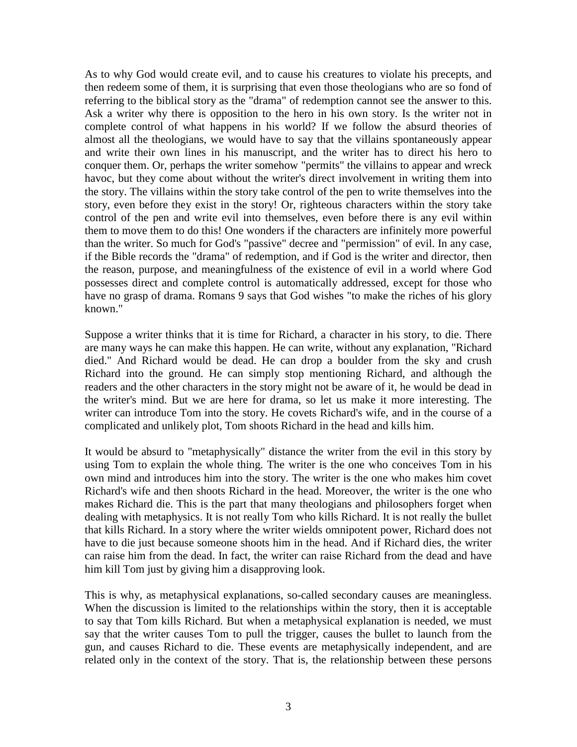As to why God would create evil, and to cause his creatures to violate his precepts, and then redeem some of them, it is surprising that even those theologians who are so fond of referring to the biblical story as the "drama" of redemption cannot see the answer to this. Ask a writer why there is opposition to the hero in his own story. Is the writer not in complete control of what happens in his world? If we follow the absurd theories of almost all the theologians, we would have to say that the villains spontaneously appear and write their own lines in his manuscript, and the writer has to direct his hero to conquer them. Or, perhaps the writer somehow "permits" the villains to appear and wreck havoc, but they come about without the writer's direct involvement in writing them into the story. The villains within the story take control of the pen to write themselves into the story, even before they exist in the story! Or, righteous characters within the story take control of the pen and write evil into themselves, even before there is any evil within them to move them to do this! One wonders if the characters are infinitely more powerful than the writer. So much for God's "passive" decree and "permission" of evil. In any case, if the Bible records the "drama" of redemption, and if God is the writer and director, then the reason, purpose, and meaningfulness of the existence of evil in a world where God possesses direct and complete control is automatically addressed, except for those who have no grasp of drama. Romans 9 says that God wishes "to make the riches of his glory known."

Suppose a writer thinks that it is time for Richard, a character in his story, to die. There are many ways he can make this happen. He can write, without any explanation, "Richard died." And Richard would be dead. He can drop a boulder from the sky and crush Richard into the ground. He can simply stop mentioning Richard, and although the readers and the other characters in the story might not be aware of it, he would be dead in the writer's mind. But we are here for drama, so let us make it more interesting. The writer can introduce Tom into the story. He covets Richard's wife, and in the course of a complicated and unlikely plot, Tom shoots Richard in the head and kills him.

It would be absurd to "metaphysically" distance the writer from the evil in this story by using Tom to explain the whole thing. The writer is the one who conceives Tom in his own mind and introduces him into the story. The writer is the one who makes him covet Richard's wife and then shoots Richard in the head. Moreover, the writer is the one who makes Richard die. This is the part that many theologians and philosophers forget when dealing with metaphysics. It is not really Tom who kills Richard. It is not really the bullet that kills Richard. In a story where the writer wields omnipotent power, Richard does not have to die just because someone shoots him in the head. And if Richard dies, the writer can raise him from the dead. In fact, the writer can raise Richard from the dead and have him kill Tom just by giving him a disapproving look.

This is why, as metaphysical explanations, so-called secondary causes are meaningless. When the discussion is limited to the relationships within the story, then it is acceptable to say that Tom kills Richard. But when a metaphysical explanation is needed, we must say that the writer causes Tom to pull the trigger, causes the bullet to launch from the gun, and causes Richard to die. These events are metaphysically independent, and are related only in the context of the story. That is, the relationship between these persons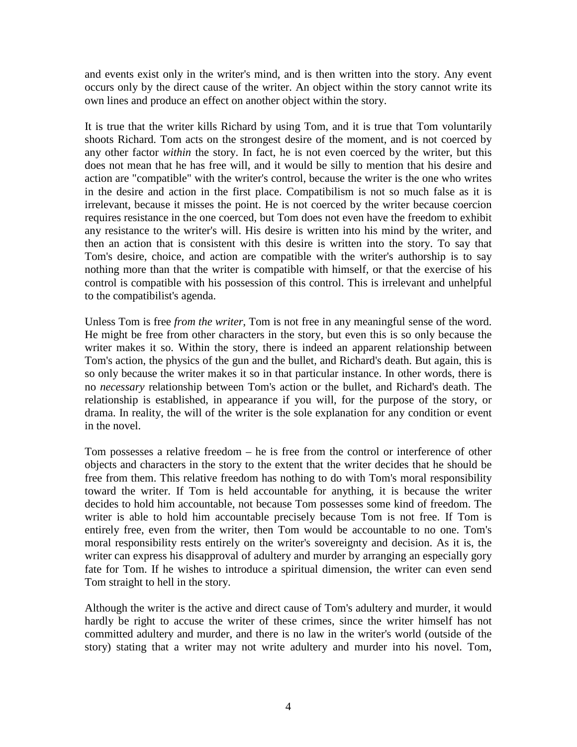and events exist only in the writer's mind, and is then written into the story. Any event occurs only by the direct cause of the writer. An object within the story cannot write its own lines and produce an effect on another object within the story.

It is true that the writer kills Richard by using Tom, and it is true that Tom voluntarily shoots Richard. Tom acts on the strongest desire of the moment, and is not coerced by any other factor *within* the story. In fact, he is not even coerced by the writer, but this does not mean that he has free will, and it would be silly to mention that his desire and action are "compatible" with the writer's control, because the writer is the one who writes in the desire and action in the first place. Compatibilism is not so much false as it is irrelevant, because it misses the point. He is not coerced by the writer because coercion requires resistance in the one coerced, but Tom does not even have the freedom to exhibit any resistance to the writer's will. His desire is written into his mind by the writer, and then an action that is consistent with this desire is written into the story. To say that Tom's desire, choice, and action are compatible with the writer's authorship is to say nothing more than that the writer is compatible with himself, or that the exercise of his control is compatible with his possession of this control. This is irrelevant and unhelpful to the compatibilist's agenda.

Unless Tom is free *from the writer*, Tom is not free in any meaningful sense of the word. He might be free from other characters in the story, but even this is so only because the writer makes it so. Within the story, there is indeed an apparent relationship between Tom's action, the physics of the gun and the bullet, and Richard's death. But again, this is so only because the writer makes it so in that particular instance. In other words, there is no *necessary* relationship between Tom's action or the bullet, and Richard's death. The relationship is established, in appearance if you will, for the purpose of the story, or drama. In reality, the will of the writer is the sole explanation for any condition or event in the novel.

Tom possesses a relative freedom – he is free from the control or interference of other objects and characters in the story to the extent that the writer decides that he should be free from them. This relative freedom has nothing to do with Tom's moral responsibility toward the writer. If Tom is held accountable for anything, it is because the writer decides to hold him accountable, not because Tom possesses some kind of freedom. The writer is able to hold him accountable precisely because Tom is not free. If Tom is entirely free, even from the writer, then Tom would be accountable to no one. Tom's moral responsibility rests entirely on the writer's sovereignty and decision. As it is, the writer can express his disapproval of adultery and murder by arranging an especially gory fate for Tom. If he wishes to introduce a spiritual dimension, the writer can even send Tom straight to hell in the story.

Although the writer is the active and direct cause of Tom's adultery and murder, it would hardly be right to accuse the writer of these crimes, since the writer himself has not committed adultery and murder, and there is no law in the writer's world (outside of the story) stating that a writer may not write adultery and murder into his novel. Tom,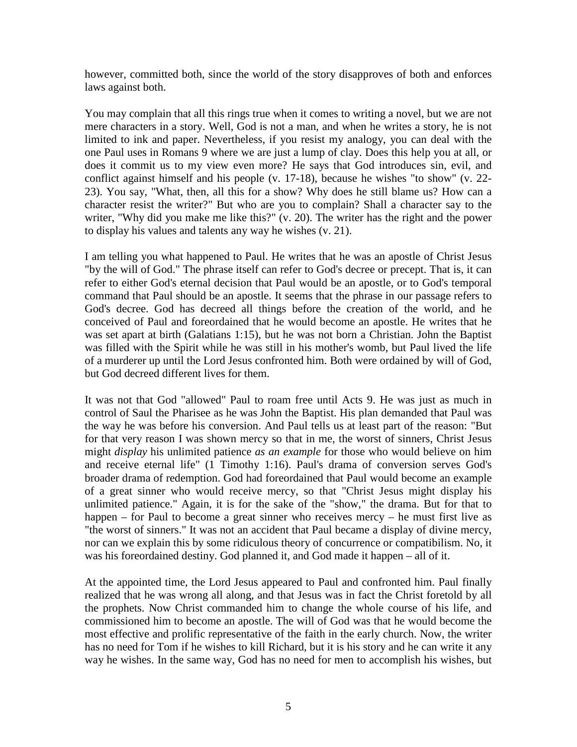however, committed both, since the world of the story disapproves of both and enforces laws against both.

You may complain that all this rings true when it comes to writing a novel, but we are not mere characters in a story. Well, God is not a man, and when he writes a story, he is not limited to ink and paper. Nevertheless, if you resist my analogy, you can deal with the one Paul uses in Romans 9 where we are just a lump of clay. Does this help you at all, or does it commit us to my view even more? He says that God introduces sin, evil, and conflict against himself and his people (v. 17-18), because he wishes "to show" (v. 22- 23). You say, "What, then, all this for a show? Why does he still blame us? How can a character resist the writer?" But who are you to complain? Shall a character say to the writer, "Why did you make me like this?" (v. 20). The writer has the right and the power to display his values and talents any way he wishes (v. 21).

I am telling you what happened to Paul. He writes that he was an apostle of Christ Jesus "by the will of God." The phrase itself can refer to God's decree or precept. That is, it can refer to either God's eternal decision that Paul would be an apostle, or to God's temporal command that Paul should be an apostle. It seems that the phrase in our passage refers to God's decree. God has decreed all things before the creation of the world, and he conceived of Paul and foreordained that he would become an apostle. He writes that he was set apart at birth (Galatians 1:15), but he was not born a Christian. John the Baptist was filled with the Spirit while he was still in his mother's womb, but Paul lived the life of a murderer up until the Lord Jesus confronted him. Both were ordained by will of God, but God decreed different lives for them.

It was not that God "allowed" Paul to roam free until Acts 9. He was just as much in control of Saul the Pharisee as he was John the Baptist. His plan demanded that Paul was the way he was before his conversion. And Paul tells us at least part of the reason: "But for that very reason I was shown mercy so that in me, the worst of sinners, Christ Jesus might *display* his unlimited patience *as an example* for those who would believe on him and receive eternal life" (1 Timothy 1:16). Paul's drama of conversion serves God's broader drama of redemption. God had foreordained that Paul would become an example of a great sinner who would receive mercy, so that "Christ Jesus might display his unlimited patience." Again, it is for the sake of the "show," the drama. But for that to happen – for Paul to become a great sinner who receives mercy – he must first live as "the worst of sinners." It was not an accident that Paul became a display of divine mercy, nor can we explain this by some ridiculous theory of concurrence or compatibilism. No, it was his foreordained destiny. God planned it, and God made it happen – all of it.

At the appointed time, the Lord Jesus appeared to Paul and confronted him. Paul finally realized that he was wrong all along, and that Jesus was in fact the Christ foretold by all the prophets. Now Christ commanded him to change the whole course of his life, and commissioned him to become an apostle. The will of God was that he would become the most effective and prolific representative of the faith in the early church. Now, the writer has no need for Tom if he wishes to kill Richard, but it is his story and he can write it any way he wishes. In the same way, God has no need for men to accomplish his wishes, but